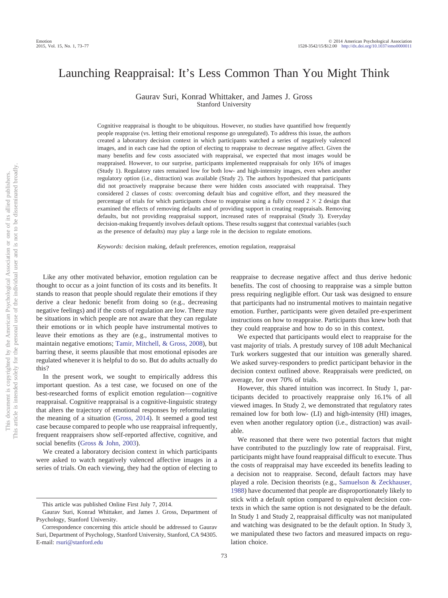# Launching Reappraisal: It's Less Common Than You Might Think

Gaurav Suri, Konrad Whittaker, and James J. Gross Stanford University

Cognitive reappraisal is thought to be ubiquitous. However, no studies have quantified how frequently people reappraise (vs. letting their emotional response go unregulated). To address this issue, the authors created a laboratory decision context in which participants watched a series of negatively valenced images, and in each case had the option of electing to reappraise to decrease negative affect. Given the many benefits and few costs associated with reappraisal, we expected that most images would be reappraised. However, to our surprise, participants implemented reappraisals for only 16% of images (Study 1). Regulatory rates remained low for both low- and high-intensity images, even when another regulatory option (i.e., distraction) was available (Study 2). The authors hypothesized that participants did not proactively reappraise because there were hidden costs associated with reappraisal. They considered 2 classes of costs: overcoming default bias and cognitive effort, and they measured the percentage of trials for which participants chose to reappraise using a fully crossed  $2 \times 2$  design that examined the effects of removing defaults and of providing support in creating reappraisals. Removing defaults, but not providing reappraisal support, increased rates of reappraisal (Study 3). Everyday decision-making frequently involves default options. These results suggest that contextual variables (such as the presence of defaults) may play a large role in the decision to regulate emotions.

*Keywords:* decision making, default preferences, emotion regulation, reappraisal

Like any other motivated behavior, emotion regulation can be thought to occur as a joint function of its costs and its benefits. It stands to reason that people should regulate their emotions if they derive a clear hedonic benefit from doing so (e.g., decreasing negative feelings) and if the costs of regulation are low. There may be situations in which people are not aware that they can regulate their emotions or in which people have instrumental motives to leave their emotions as they are (e.g., instrumental motives to maintain negative emotions; [Tamir, Mitchell, & Gross, 2008\)](#page-4-0), but barring these, it seems plausible that most emotional episodes are regulated whenever it is helpful to do so. But do adults actually do this?

In the present work, we sought to empirically address this important question. As a test case, we focused on one of the best-researched forms of explicit emotion regulation— cognitive reappraisal. Cognitive reappraisal is a cognitive-linguistic strategy that alters the trajectory of emotional responses by reformulating the meaning of a situation [\(Gross, 2014\)](#page-4-1). It seemed a good test case because compared to people who use reappraisal infrequently, frequent reappraisers show self-reported affective, cognitive, and social benefits [\(Gross & John, 2003\)](#page-4-2).

We created a laboratory decision context in which participants were asked to watch negatively valenced affective images in a series of trials. On each viewing, they had the option of electing to reappraise to decrease negative affect and thus derive hedonic benefits. The cost of choosing to reappraise was a simple button press requiring negligible effort. Our task was designed to ensure that participants had no instrumental motives to maintain negative emotion. Further, participants were given detailed pre-experiment instructions on how to reappraise. Participants thus knew both that they could reappraise and how to do so in this context.

We expected that participants would elect to reappraise for the vast majority of trials. A prestudy survey of 108 adult Mechanical Turk workers suggested that our intuition was generally shared. We asked survey-responders to predict participant behavior in the decision context outlined above. Reappraisals were predicted, on average, for over 70% of trials.

However, this shared intuition was incorrect. In Study 1, participants decided to proactively reappraise only 16.1% of all viewed images. In Study 2, we demonstrated that regulatory rates remained low for both low- (LI) and high-intensity (HI) images, even when another regulatory option (i.e., distraction) was available.

We reasoned that there were two potential factors that might have contributed to the puzzlingly low rate of reappraisal. First, participants might have found reappraisal difficult to execute. Thus the costs of reappraisal may have exceeded its benefits leading to a decision not to reappraise. Second, default factors may have played a role. Decision theorists (e.g., [Samuelson & Zeckhauser,](#page-4-3) [1988\)](#page-4-3) have documented that people are disproportionately likely to stick with a default option compared to equivalent decision contexts in which the same option is not designated to be the default. In Study 1 and Study 2, reappraisal difficulty was not manipulated and watching was designated to be the default option. In Study 3, we manipulated these two factors and measured impacts on regulation choice.

This article was published Online First July 7, 2014.

Gaurav Suri, Konrad Whittaker, and James J. Gross, Department of Psychology, Stanford University.

Correspondence concerning this article should be addressed to Gaurav Suri, Department of Psychology, Stanford University, Stanford, CA 94305. E-mail: [rsuri@stanford.edu](mailto:rsuri@stanford.edu)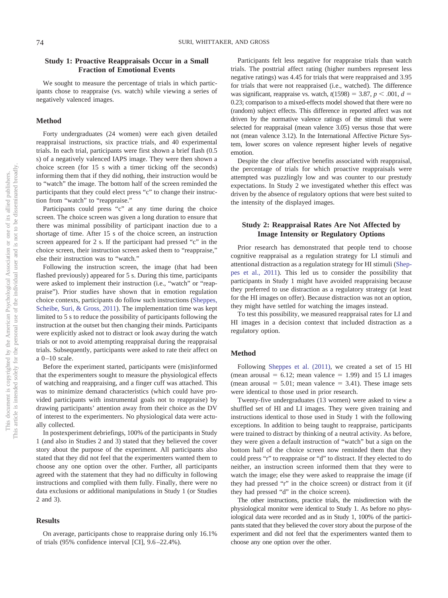# **Study 1: Proactive Reappraisals Occur in a Small Fraction of Emotional Events**

We sought to measure the percentage of trials in which participants chose to reappraise (vs. watch) while viewing a series of negatively valenced images.

## **Method**

Forty undergraduates (24 women) were each given detailed reappraisal instructions, six practice trials, and 40 experimental trials. In each trial, participants were first shown a brief flash (0.5 s) of a negatively valenced IAPS image. They were then shown a choice screen (for 15 s with a timer ticking off the seconds) informing them that if they did nothing, their instruction would be to "watch" the image. The bottom half of the screen reminded the participants that they could elect press "c" to change their instruction from "watch" to "reappraise."

Participants could press "c" at any time during the choice screen. The choice screen was given a long duration to ensure that there was minimal possibility of participant inaction due to a shortage of time. After 15 s of the choice screen, an instruction screen appeared for 2 s. If the participant had pressed "c" in the choice screen, their instruction screen asked them to "reappraise," else their instruction was to "watch."

Following the instruction screen, the image (that had been flashed previously) appeared for 5 s. During this time, participants were asked to implement their instruction (i.e., "watch" or "reappraise"). Prior studies have shown that in emotion regulation choice contexts, participants do follow such instructions [\(Sheppes,](#page-4-4) [Scheibe, Suri, & Gross, 2011\)](#page-4-4). The implementation time was kept limited to 5 s to reduce the possibility of participants following the instruction at the outset but then changing their minds. Participants were explicitly asked not to distract or look away during the watch trials or not to avoid attempting reappraisal during the reappraisal trials. Subsequently, participants were asked to rate their affect on a  $0-10$  scale.

Before the experiment started, participants were (mis)informed that the experimenters sought to measure the physiological effects of watching and reappraising, and a finger cuff was attached. This was to minimize demand characteristics (which could have provided participants with instrumental goals not to reappraise) by drawing participants' attention away from their choice as the DV of interest to the experimenters. No physiological data were actually collected.

In postexperiment debriefings, 100% of the participants in Study 1 (and also in Studies 2 and 3) stated that they believed the cover story about the purpose of the experiment. All participants also stated that they did not feel that the experimenters wanted them to choose any one option over the other. Further, all participants agreed with the statement that they had no difficulty in following instructions and complied with them fully. Finally, there were no data exclusions or additional manipulations in Study 1 (or Studies 2 and 3).

#### **Results**

On average, participants chose to reappraise during only 16.1% of trials (95% confidence interval [CI], 9.6 –22.4%).

Participants felt less negative for reappraise trials than watch trials. The posttrial affect rating (higher numbers represent less negative ratings) was 4.45 for trials that were reappraised and 3.95 for trials that were not reappraised (i.e., watched). The difference was significant, reappraise vs. watch,  $t(1598) = 3.87, p < .001, d =$ 0.23; comparison to a mixed-effects model showed that there were no (random) subject effects. This difference in reported affect was not driven by the normative valence ratings of the stimuli that were selected for reappraisal (mean valence 3.05) versus those that were not (mean valence 3.12). In the International Affective Picture System, lower scores on valence represent higher levels of negative emotion.

Despite the clear affective benefits associated with reappraisal, the percentage of trials for which proactive reappraisals were attempted was puzzlingly low and was counter to our prestudy expectations. In Study 2 we investigated whether this effect was driven by the absence of regulatory options that were best suited to the intensity of the displayed images.

# **Study 2: Reappraisal Rates Are Not Affected by Image Intensity or Regulatory Options**

Prior research has demonstrated that people tend to choose cognitive reappraisal as a regulation strategy for LI stimuli and attentional distraction as a regulation strategy for HI stimuli [\(Shep](#page-4-4)[pes et al., 2011\)](#page-4-4). This led us to consider the possibility that participants in Study 1 might have avoided reappraising because they preferred to use distraction as a regulatory strategy (at least for the HI images on offer). Because distraction was not an option, they might have settled for watching the images instead.

To test this possibility, we measured reappraisal rates for LI and HI images in a decision context that included distraction as a regulatory option.

## **Method**

Following [Sheppes et al. \(2011\),](#page-4-4) we created a set of 15 HI (mean arousal  $= 6.12$ ; mean valence  $= 1.99$ ) and 15 LI images (mean arousal  $= 5.01$ ; mean valence  $= 3.41$ ). These image sets were identical to those used in prior research.

Twenty-five undergraduates (13 women) were asked to view a shuffled set of HI and LI images. They were given training and instructions identical to those used in Study 1 with the following exceptions. In addition to being taught to reappraise, participants were trained to distract by thinking of a neutral activity. As before, they were given a default instruction of "watch" but a sign on the bottom half of the choice screen now reminded them that they could press "r" to reappraise or "d" to distract. If they elected to do neither, an instruction screen informed them that they were to watch the image; else they were asked to reappraise the image (if they had pressed "r" in the choice screen) or distract from it (if they had pressed "d" in the choice screen).

The other instructions, practice trials, the misdirection with the physiological monitor were identical to Study 1. As before no physiological data were recorded and as in Study 1, 100% of the participants stated that they believed the cover story about the purpose of the experiment and did not feel that the experimenters wanted them to choose any one option over the other.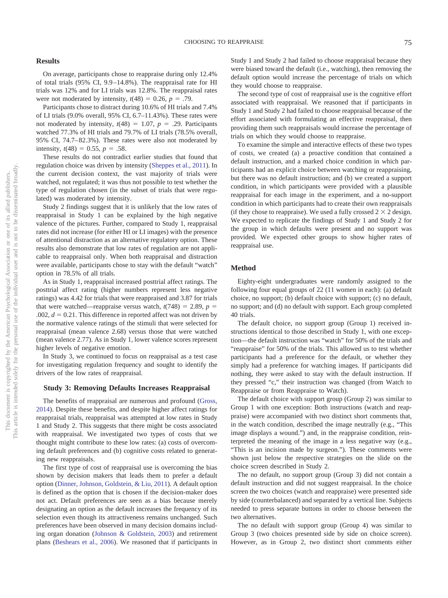#### **Results**

On average, participants chose to reappraise during only 12.4% of total trials (95% CI, 9.9 –14.8%). The reappraisal rate for HI trials was 12% and for LI trials was 12.8%. The reappraisal rates were not moderated by intensity,  $t(48) = 0.26$ ,  $p = .79$ .

Participants chose to distract during 10.6% of HI trials and 7.4% of LI trials (9.0% overall, 95% CI, 6.7–11.43%). These rates were not moderated by intensity,  $t(48) = 1.07$ ,  $p = .29$ . Participants watched 77.3% of HI trials and 79.7% of LI trials (78.5% overall, 95% CI, 74.7– 82.3%). These rates were also not moderated by intensity,  $t(48) = 0.55$ ,  $p = .58$ .

These results do not contradict earlier studies that found that regulation choice was driven by intensity [\(Sheppes et al., 2011\)](#page-4-4). In the current decision context, the vast majority of trials were watched, not regulated; it was thus not possible to test whether the type of regulation chosen (in the subset of trials that were regulated) was moderated by intensity.

Study 2 findings suggest that it is unlikely that the low rates of reappraisal in Study 1 can be explained by the high negative valence of the pictures. Further, compared to Study 1, reappraisal rates did not increase (for either HI or LI images) with the presence of attentional distraction as an alternative regulatory option. These results also demonstrate that low rates of regulation are not applicable to reappraisal only. When both reappraisal and distraction were available, participants chose to stay with the default "watch" option in 78.5% of all trials.

As in Study 1, reappraisal increased posttrial affect ratings. The posttrial affect rating (higher numbers represent less negative ratings) was 4.42 for trials that were reappraised and 3.87 for trials that were watched—reappraise versus watch,  $t(748) = 2.89$ ,  $p =$ .002,  $d = 0.21$ . This difference in reported affect was not driven by the normative valence ratings of the stimuli that were selected for reappraisal (mean valence 2.68) versus those that were watched (mean valence 2.77). As in Study 1, lower valence scores represent higher levels of negative emotion.

In Study 3, we continued to focus on reappraisal as a test case for investigating regulation frequency and sought to identify the drivers of the low rates of reappraisal.

#### **Study 3: Removing Defaults Increases Reappraisal**

The benefits of reappraisal are numerous and profound [\(Gross,](#page-4-1) [2014\)](#page-4-1). Despite these benefits, and despite higher affect ratings for reappraisal trials, reappraisal was attempted at low rates in Study 1 and Study 2. This suggests that there might be costs associated with reappraisal. We investigated two types of costs that we thought might contribute to these low rates: (a) costs of overcoming default preferences and (b) cognitive costs related to generating new reappraisals.

The first type of cost of reappraisal use is overcoming the bias shown by decision makers that leads them to prefer a default option [\(Dinner, Johnson, Goldstein, & Liu, 2011\)](#page-4-5). A default option is defined as the option that is chosen if the decision-maker does not act. Default preferences are seen as a bias because merely designating an option as the default increases the frequency of its selection even though its attractiveness remains unchanged. Such preferences have been observed in many decision domains including organ donation [\(Johnson & Goldstein, 2003\)](#page-4-6) and retirement plans [\(Beshears et al., 2006\)](#page-4-7). We reasoned that if participants in Study 1 and Study 2 had failed to choose reappraisal because they were biased toward the default (i.e., watching), then removing the default option would increase the percentage of trials on which they would choose to reappraise.

The second type of cost of reappraisal use is the cognitive effort associated with reappraisal. We reasoned that if participants in Study 1 and Study 2 had failed to choose reappraisal because of the effort associated with formulating an effective reappraisal, then providing them such reappraisals would increase the percentage of trials on which they would choose to reappraise.

To examine the simple and interactive effects of these two types of costs, we created (a) a proactive condition that contained a default instruction, and a marked choice condition in which participants had an explicit choice between watching or reappraising, but there was no default instruction; and (b) we created a support condition, in which participants were provided with a plausible reappraisal for each image in the experiment, and a no-support condition in which participants had to create their own reappraisals (if they chose to reappraise). We used a fully crossed  $2 \times 2$  design. We expected to replicate the findings of Study 1 and Study 2 for the group in which defaults were present and no support was provided. We expected other groups to show higher rates of reappraisal use.

## **Method**

Eighty-eight undergraduates were randomly assigned to the following four equal groups of 22 (11 women in each): (a) default choice, no support; (b) default choice with support; (c) no default, no support; and (d) no default with support. Each group completed 40 trials.

The default choice, no support group (Group 1) received instructions identical to those described in Study 1, with one exception—the default instruction was "watch" for 50% of the trials and "reappraise" for 50% of the trials. This allowed us to test whether participants had a preference for the default, or whether they simply had a preference for watching images. If participants did nothing, they were asked to stay with the default instruction. If they pressed "c," their instruction was changed (from Watch to Reappraise or from Reappraise to Watch).

The default choice with support group (Group 2) was similar to Group 1 with one exception: Both instructions (watch and reappraise) were accompanied with two distinct short comments that, in the watch condition, described the image neutrally (e.g., "This image displays a wound.") and, in the reappraise condition, reinterpreted the meaning of the image in a less negative way (e.g., "This is an incision made by surgeon."). These comments were shown just below the respective strategies on the slide on the choice screen described in Study 2.

The no default, no support group (Group 3) did not contain a default instruction and did not suggest reappraisal. In the choice screen the two choices (watch and reappraise) were presented side by side (counterbalanced) and separated by a vertical line. Subjects needed to press separate buttons in order to choose between the two alternatives.

The no default with support group (Group 4) was similar to Group 3 (two choices presented side by side on choice screen). However, as in Group 2, two distinct short comments either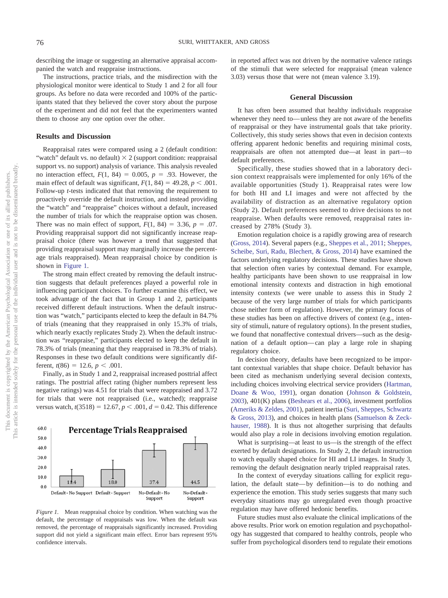describing the image or suggesting an alternative appraisal accompanied the watch and reappraise instructions.

The instructions, practice trials, and the misdirection with the physiological monitor were identical to Study 1 and 2 for all four groups. As before no data were recorded and 100% of the participants stated that they believed the cover story about the purpose of the experiment and did not feel that the experimenters wanted them to choose any one option over the other.

# **Results and Discussion**

Reappraisal rates were compared using a 2 (default condition: "watch" default vs. no default)  $\times$  2 (support condition: reappraisal support vs. no support) analysis of variance. This analysis revealed no interaction effect,  $F(1, 84) = 0.005$ ,  $p = .93$ . However, the main effect of default was significant,  $F(1, 84) = 49.28$ ,  $p < .001$ . Follow-up *t*-tests indicated that that removing the requirement to proactively override the default instruction, and instead providing the "watch" and "reappraise" choices without a default, increased the number of trials for which the reappraise option was chosen. There was no main effect of support,  $F(1, 84) = 3.36$ ,  $p = .07$ . Providing reappraisal support did not significantly increase reappraisal choice (there was however a trend that suggested that providing reappraisal support may marginally increase the percentage trials reappraised). Mean reappraisal choice by condition is shown in [Figure 1.](#page-3-0)

The strong main effect created by removing the default instruction suggests that default preferences played a powerful role in influencing participant choices. To further examine this effect, we took advantage of the fact that in Group 1 and 2, participants received different default instructions. When the default instruction was "watch," participants elected to keep the default in 84.7% of trials (meaning that they reappraised in only 15.3% of trials, which nearly exactly replicates Study 2). When the default instruction was "reappraise," participants elected to keep the default in 78.3% of trials (meaning that they reappraised in 78.3% of trials). Responses in these two default conditions were significantly different,  $t(86) = 12.6, p < .001$ .

Finally, as in Study 1 and 2, reappraisal increased posttrial affect ratings. The posttrial affect rating (higher numbers represent less negative ratings) was 4.51 for trials that were reappraised and 3.72 for trials that were not reappraised (i.e., watched); reappraise versus watch,  $t(3518) = 12.67$ ,  $p < .001$ ,  $d = 0.42$ . This difference



<span id="page-3-0"></span>*Figure 1.* Mean reappraisal choice by condition. When watching was the default, the percentage of reappraisals was low. When the default was removed, the percentage of reappraisals significantly increased. Providing support did not yield a significant main effect. Error bars represent 95% confidence intervals.

in reported affect was not driven by the normative valence ratings of the stimuli that were selected for reappraisal (mean valence 3.03) versus those that were not (mean valence 3.19).

#### **General Discussion**

It has often been assumed that healthy individuals reappraise whenever they need to— unless they are not aware of the benefits of reappraisal or they have instrumental goals that take priority. Collectively, this study series shows that even in decision contexts offering apparent hedonic benefits and requiring minimal costs, reappraisals are often not attempted due—at least in part—to default preferences.

Specifically, these studies showed that in a laboratory decision context reappraisals were implemented for only 16% of the available opportunities (Study 1). Reappraisal rates were low for both HI and LI images and were not affected by the availability of distraction as an alternative regulatory option (Study 2). Default preferences seemed to drive decisions to not reappraise. When defaults were removed, reappraisal rates increased by 278% (Study 3).

Emotion regulation choice is a rapidly growing area of research [\(Gross, 2014\)](#page-4-1). Several papers (e.g., [Sheppes et al., 2011;](#page-4-4) [Sheppes,](#page-4-8) [Scheibe, Suri, Radu, Blechert, & Gross, 2014\)](#page-4-8) have examined the factors underlying regulatory decisions. These studies have shown that selection often varies by contextual demand. For example, healthy participants have been shown to use reappraisal in low emotional intensity contexts and distraction in high emotional intensity contexts (we were unable to assess this in Study 2 because of the very large number of trials for which participants chose neither form of regulation). However, the primary focus of these studies has been on affective drivers of context (e.g., intensity of stimuli, nature of regulatory options). In the present studies, we found that nonaffective contextual drivers—such as the designation of a default option— can play a large role in shaping regulatory choice.

In decision theory, defaults have been recognized to be important contextual variables that shape choice. Default behavior has been cited as mechanism underlying several decision contexts, including choices involving electrical service providers [\(Hartman,](#page-4-9) [Doane & Woo, 1991\)](#page-4-9), organ donation [\(Johnson & Goldstein,](#page-4-6) [2003\)](#page-4-6), 401(K) plans [\(Beshears et al., 2006\)](#page-4-7), investment portfolios [\(Ameriks & Zeldes, 2001\)](#page-4-10), patient inertia [\(Suri, Sheppes, Schwartz](#page-4-11) [& Gross, 2013\)](#page-4-11), and choices in health plans [\(Samuelson & Zeck](#page-4-3)[hauser, 1988\)](#page-4-3). It is thus not altogether surprising that defaults would also play a role in decisions involving emotion regulation.

What is surprising—at least to us—is the strength of the effect exerted by default designations. In Study 2, the default instruction to watch equally shaped choice for HI and LI images. In Study 3, removing the default designation nearly tripled reappraisal rates.

In the context of everyday situations calling for explicit regulation, the default state— by definition—is to do nothing and experience the emotion. This study series suggests that many such everyday situations may go unregulated even though proactive regulation may have offered hedonic benefits.

Future studies must also evaluate the clinical implications of the above results. Prior work on emotion regulation and psychopathology has suggested that compared to healthy controls, people who suffer from psychological disorders tend to regulate their emotions